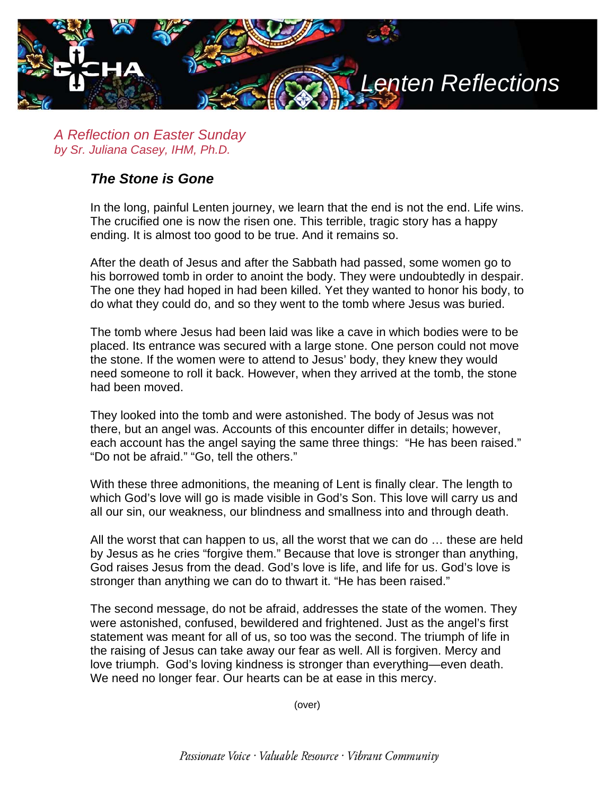

*A Reflection on Easter Sunday by Sr. Juliana Casey, IHM, Ph.D.*

## *The Stone is Gone*

In the long, painful Lenten journey, we learn that the end is not the end. Life wins. The crucified one is now the risen one. This terrible, tragic story has a happy ending. It is almost too good to be true. And it remains so.

After the death of Jesus and after the Sabbath had passed, some women go to his borrowed tomb in order to anoint the body. They were undoubtedly in despair. The one they had hoped in had been killed. Yet they wanted to honor his body, to do what they could do, and so they went to the tomb where Jesus was buried.

The tomb where Jesus had been laid was like a cave in which bodies were to be placed. Its entrance was secured with a large stone. One person could not move the stone. If the women were to attend to Jesus' body, they knew they would need someone to roll it back. However, when they arrived at the tomb, the stone had been moved.

They looked into the tomb and were astonished. The body of Jesus was not there, but an angel was. Accounts of this encounter differ in details; however, each account has the angel saying the same three things: "He has been raised." "Do not be afraid." "Go, tell the others."

With these three admonitions, the meaning of Lent is finally clear. The length to which God's love will go is made visible in God's Son. This love will carry us and all our sin, our weakness, our blindness and smallness into and through death.

All the worst that can happen to us, all the worst that we can do … these are held by Jesus as he cries "forgive them." Because that love is stronger than anything, God raises Jesus from the dead. God's love is life, and life for us. God's love is stronger than anything we can do to thwart it. "He has been raised."

The second message, do not be afraid, addresses the state of the women. They were astonished, confused, bewildered and frightened. Just as the angel's first statement was meant for all of us, so too was the second. The triumph of life in the raising of Jesus can take away our fear as well. All is forgiven. Mercy and love triumph. God's loving kindness is stronger than everything—even death. We need no longer fear. Our hearts can be at ease in this mercy.

(over)